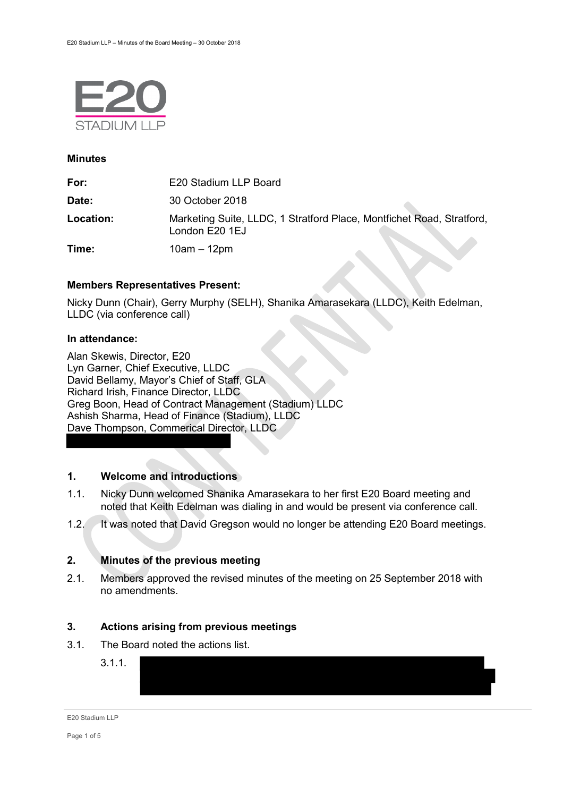

#### **Minutes**

| For:      | E20 Stadium LLP Board                                                                   |
|-----------|-----------------------------------------------------------------------------------------|
| Date:     | 30 October 2018                                                                         |
| Location: | Marketing Suite, LLDC, 1 Stratford Place, Montfichet Road, Stratford,<br>London E20 1EJ |
| Time:     | $10am - 12pm$                                                                           |

## **Members Representatives Present:**

Nicky Dunn (Chair), Gerry Murphy (SELH), Shanika Amarasekara (LLDC), Keith Edelman, LLDC (via conference call)

## **In attendance:**

Alan Skewis, Director, E20 Lyn Garner, Chief Executive, LLDC David Bellamy, Mayor's Chief of Staff, GLA Richard Irish, Finance Director, LLDC Greg Boon, Head of Contract Management (Stadium) LLDC Ashish Sharma, Head of Finance (Stadium), LLDC Dave Thompson, Commerical Director, LLDC

## **1. Welcome and introductions**

- 1.1. Nicky Dunn welcomed Shanika Amarasekara to her first E20 Board meeting and noted that Keith Edelman was dialing in and would be present via conference call.
- 1.2. It was noted that David Gregson would no longer be attending E20 Board meetings.

## **2. Minutes of the previous meeting**

2.1. Members approved the revised minutes of the meeting on 25 September 2018 with no amendments.

## **3. Actions arising from previous meetings**

- 3.1. The Board noted the actions list.
	- 3.1.1.

E20 Stadium LLP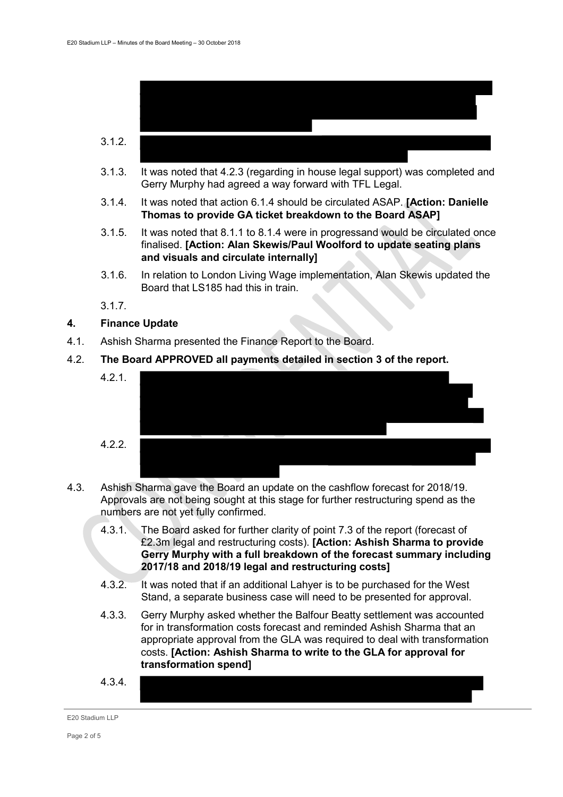

- 3.1.3. It was noted that 4.2.3 (regarding in house legal support) was completed and Gerry Murphy had agreed a way forward with TFL Legal.
- 3.1.4. It was noted that action 6.1.4 should be circulated ASAP. **[Action: Danielle Thomas to provide GA ticket breakdown to the Board ASAP]**
- 3.1.5. It was noted that 8.1.1 to 8.1.4 were in progressand would be circulated once finalised. **[Action: Alan Skewis/Paul Woolford to update seating plans and visuals and circulate internally]**
- 3.1.6. In relation to London Living Wage implementation, Alan Skewis updated the Board that LS185 had this in train
- 3.1.7.

## **4. Finance Update**

- 4.1. Ashish Sharma presented the Finance Report to the Board.
- 4.2. **The Board APPROVED all payments detailed in section 3 of the report.**



- 4.3. Ashish Sharma gave the Board an update on the cashflow forecast for 2018/19. Approvals are not being sought at this stage for further restructuring spend as the numbers are not yet fully confirmed.
	- 4.3.1. The Board asked for further clarity of point 7.3 of the report (forecast of £2.3m legal and restructuring costs). **[Action: Ashish Sharma to provide Gerry Murphy with a full breakdown of the forecast summary including 2017/18 and 2018/19 legal and restructuring costs]**
	- 4.3.2. It was noted that if an additional Lahyer is to be purchased for the West Stand, a separate business case will need to be presented for approval.
	- 4.3.3. Gerry Murphy asked whether the Balfour Beatty settlement was accounted for in transformation costs forecast and reminded Ashish Sharma that an appropriate approval from the GLA was required to deal with transformation costs. **[Action: Ashish Sharma to write to the GLA for approval for transformation spend]**
	- 4.3.4.

#### E20 Stadium LLP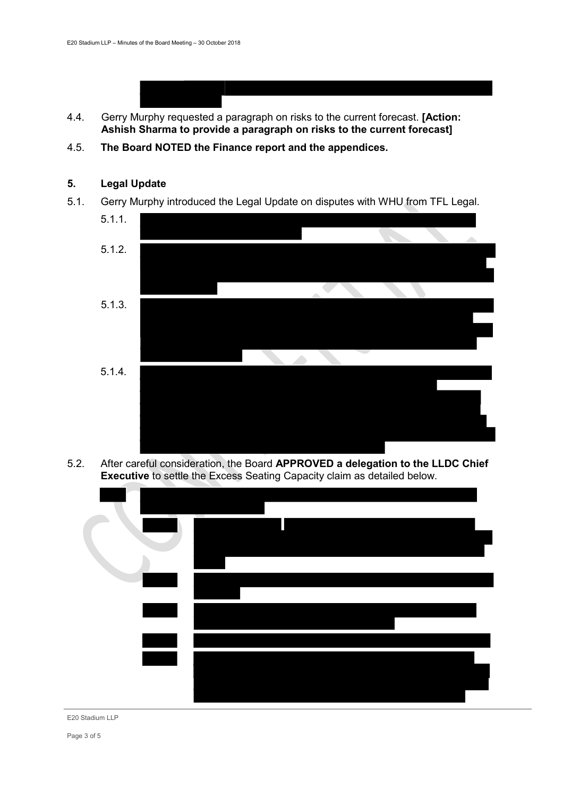- 4.4. Gerry Murphy requested a paragraph on risks to the current forecast. **[Action: Ashish Sharma to provide a paragraph on risks to the current forecast]**
- 4.5. **The Board NOTED the Finance report and the appendices.**

# **5. Legal Update**

5.1. Gerry Murphy introduced the Legal Update on disputes with WHU from TFL Legal.



5.2. After careful consideration, the Board **APPROVED a delegation to the LLDC Chief Executive** to settle the Excess Seating Capacity claim as detailed below.



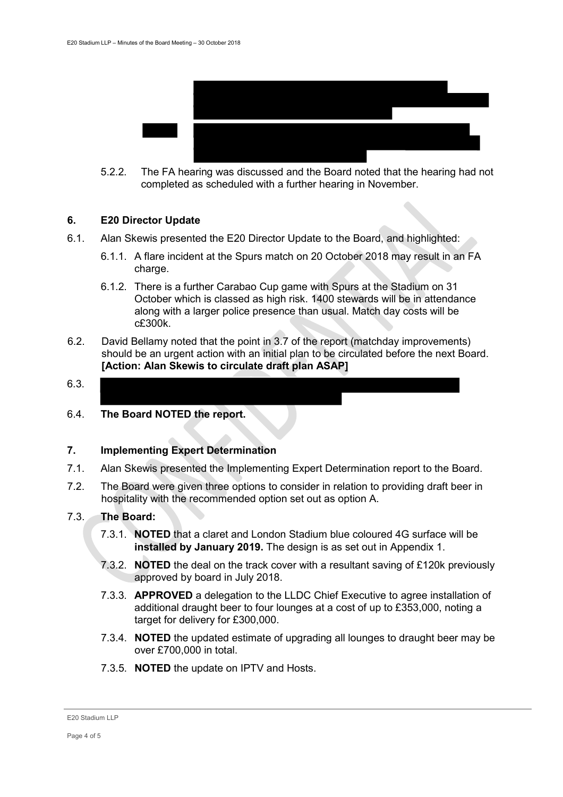

5.2.2. The FA hearing was discussed and the Board noted that the hearing had not completed as scheduled with a further hearing in November.

#### **6. E20 Director Update**

- 6.1. Alan Skewis presented the E20 Director Update to the Board, and highlighted:
	- 6.1.1. A flare incident at the Spurs match on 20 October 2018 may result in an FA charge.
	- 6.1.2. There is a further Carabao Cup game with Spurs at the Stadium on 31 October which is classed as high risk. 1400 stewards will be in attendance along with a larger police presence than usual. Match day costs will be c£300k.
- 6.2. David Bellamy noted that the point in 3.7 of the report (matchday improvements) should be an urgent action with an initial plan to be circulated before the next Board. **[Action: Alan Skewis to circulate draft plan ASAP]**
- 6.3.
- 6.4. **The Board NOTED the report.**

## **7. Implementing Expert Determination**

- 7.1. Alan Skewis presented the Implementing Expert Determination report to the Board.
- 7.2. The Board were given three options to consider in relation to providing draft beer in hospitality with the recommended option set out as option A.

## 7.3. **The Board:**

- 7.3.1. **NOTED** that a claret and London Stadium blue coloured 4G surface will be **installed by January 2019.** The design is as set out in Appendix 1.
- 7.3.2. **NOTED** the deal on the track cover with a resultant saving of £120k previously approved by board in July 2018.
- 7.3.3. **APPROVED** a delegation to the LLDC Chief Executive to agree installation of additional draught beer to four lounges at a cost of up to £353,000, noting a target for delivery for £300,000.
- 7.3.4. **NOTED** the updated estimate of upgrading all lounges to draught beer may be over £700,000 in total.
- 7.3.5. **NOTED** the update on IPTV and Hosts.

E20 Stadium LLP